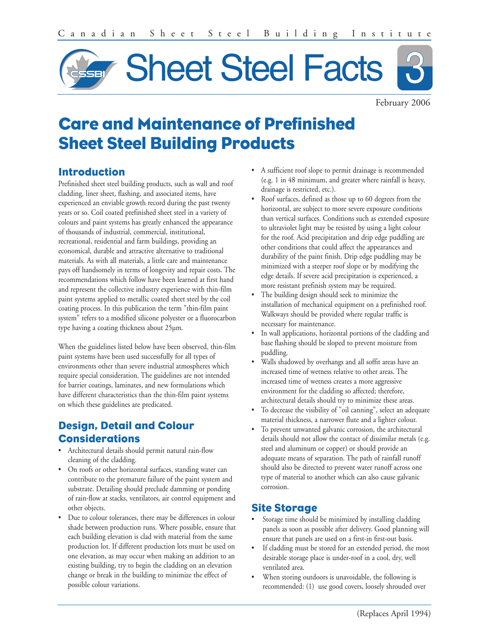

February 2006

# **Care and Maintenance of Prefinished Sheet Steel Building Products**

#### **Introduction**

Prefinished sheet steel building products, such as wall and roof cladding, liner sheet, flashing, and associated items, have experienced an enviable growth record during the past twenty years or so. Coil coated prefinished sheet steel in a variety of colours and paint systems has greatly enhanced the appearance of thousands of industrial, commercial, institutional, recreational, residential and farm buildings, providing an economical, durable and attractive alternative to traditional materials. As with all materials, a little care and maintenance pays off handsomely in terms of longevity and repair costs. The recommendations which follow have been learned at first hand and represent the collective industry experience with thin-film paint systems applied to metallic coated sheet steel by the coil coating process. In this publication the term "thin-film paint system" refers to a modified silicone polyester or a fluorocarbon type having a coating thickness about 25µm.

When the guidelines listed below have been observed, thin-film paint systems have been used successfully for all types of environments other than severe industrial atmospheres which require special consideration. The guidelines are not intended for barrier coatings, laminates, and new formulations which have different characteristics than the thin-film paint systems on which these guidelines are predicated.

## **Design, Detail and Colour Considerations**

- Architectural details should permit natural rain-flow cleaning of the cladding.
- On roofs or other horizontal surfaces, standing water can contribute to the premature failure of the paint system and substrate. Detailing should preclude damming or ponding of rain-flow at stacks, ventilators, air control equipment and other objects.
- Due to colour tolerances, there may be differences in colour shade between production runs. Where possible, ensure that each building elevation is clad with material from the same production lot. If different production lots must be used on one elevation, as may occur when making an addition to an existing building, try to begin the cladding on an elevation change or break in the building to minimize the effect of possible colour variations.
- A sufficient roof slope to permit drainage is recommended (e.g. 1 in 48 minimum, and greater where rainfall is heavy, drainage is restricted, etc.).
- Roof surfaces, defined as those up to 60 degrees from the horizontal, are subject to more severe exposure conditions than vertical surfaces. Conditions such as extended exposure to ultraviolet light may be resisted by using a light colour for the roof. Acid precipitation and drip edge puddling are other conditions that could affect the appearances and durability of the paint finish. Drip edge puddling may be minimized with a steeper roof slope or by modifying the edge details. If severe acid precipitation is experienced, a more resistant prefinish system may be required.
- The building design should seek to minimize the installation of mechanical equipment on a prefinished roof. Walkways should be provided where regular traffic is necessary for maintenance.
- In wall applications, horizontal portions of the cladding and base flashing should be sloped to prevent moisture from puddling.
- Walls shadowed by overhangs and all soffit areas have an increased time of wetness relative to other areas. The increased time of wetness creates a more aggressive environment for the cladding so affected; therefore, architectural details should try to minimize these areas.
- To decrease the visibility of "oil canning", select an adequate material thickness, a narrower flute and a lighter colour.
- To prevent unwanted galvanic corrosion, the architectural details should not allow the contact of dissimilar metals (e.g. steel and aluminum or copper) or should provide an adequate means of separation. The path of rainfall runoff should also be directed to prevent water runoff across one type of material to another which can also cause galvanic corrosion.

### **Site Storage**

- Storage time should be minimized by installing cladding panels as soon as possible after delivery. Good planning will ensure that panels are used on a first-in first-out basis.
- If cladding must be stored for an extended period, the most desirable storage place is under-roof in a cool, dry, well ventilated area.
- When storing outdoors is unavoidable, the following is recommended: (1) use good covers, loosely shrouded over